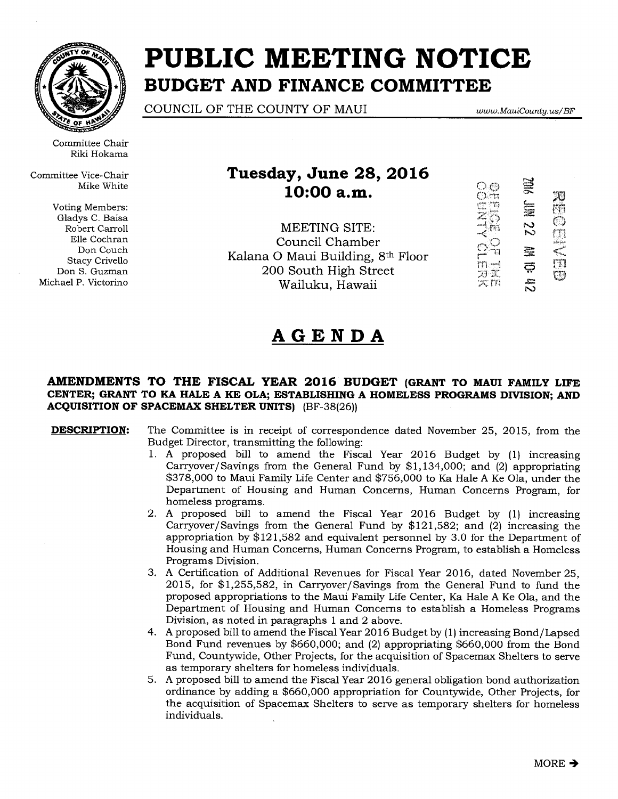

Committee Chair Riki Hokama

Committee Vice-Chair Mike White

Voting Members: Gladys C. Baisa Robert Carroll Elle Cochran Don Couch Stacy Crivello Don S. Guzman Michael P. Victorino

# **PUBLIC MEETING NOTICE BUDGET AND FINANCE COMMITTEE**

COUNCIL OF THE COUNTY OF MAUI *www.MauiCounty.us/ BF* 

### **Tuesday, June 28, 2016 10:00 a.m.**

MEETING SITE: Council Chamber Kalana 0 Maui Building, 8th Floor 200 South High Street Wailuku, Hawaii



## **AGENDA**

### **AMENDMENTS TO THE FISCAL YEAR 2016 BUDGET (GRANT TO MAUI FAMILY LIFE CENTER; GRANT TO KA HALE A KE OLA; ESTABLISHING A HOMELESS PROGRAMS DIVISION; AND ACQUISITION OF SPACEMAX SHELTER UNITS)** (BF-38(26))

**DESCRIPTION:** The Committee is in receipt of correspondence dated November 25, 2015, from the Budget Director, transmitting the following:

- 1. A proposed bill to amend the Fiscal Year 2016 Budget by (1) increasing Carryover/Savings from the General Fund by \$1,134,000; and (2) appropriating \$378,000 to Maui Family Life Center and \$756,000 to Ka Hale A Ke Ola, under the Department of Housing and Human Concerns, Human Concerns Program, for homeless programs.
- 2. A proposed bill to amend the Fiscal Year 2016 Budget by (1) increasing Carryover/Savings from the General Fund by \$121,582; and (2) increasing the appropriation by \$121,582 and equivalent personnel by 3.0 for the Department of Housing and Human Concerns, Human Concerns Program, to establish a Homeless Programs Division.
- 3. A Certification of Additional Revenues for Fiscal Year 2016, dated November 25, 2015, for \$1,255,582, in Carryover/ Savings from the General Fund to fund the proposed appropriations to the Maui Family Life Center, Ka Hale A Ke Ola, and the Department of Housing and Human Concerns to establish a Homeless Programs Division, as noted in paragraphs 1 and 2 above.
- 4. A proposed bill to amend the Fiscal Year 2016 Budget by (1) increasing Bond/Lapsed Bond Fund revenues by \$660,000; and (2) appropriating \$660,000 from the Bond Fund, Countywide, Other Projects, for the acquisition of Spacemax Shelters to serve as temporary shelters for homeless individuals.
- 5. A proposed bill to amend the Fiscal Year 2016 general obligation bond authorization ordinance by adding a \$660,000 appropriation for Countywide, Other Projects, for the acquisition of Spacemax Shelters to serve as temporary shelters for homeless individuals.